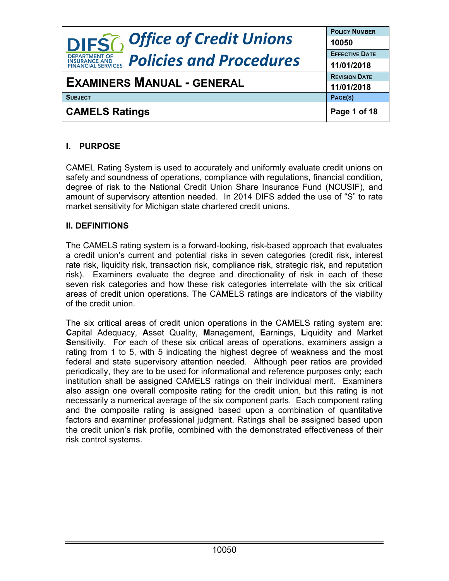|                                                                                     | <b>POLICY NUMBER</b>  |
|-------------------------------------------------------------------------------------|-----------------------|
| <b>DIFS</b> <sup>2</sup> Office of Credit Unions                                    | 10050                 |
| <b>DEPARTMENT OF</b>                                                                | <b>EFFECTIVE DATE</b> |
| <b>Policies and Procedures</b><br><b>INSURANCE AND</b><br><b>FINANCIAL SERVICES</b> | 11/01/2018            |
| <b>EXAMINERS MANUAL - GENERAL</b>                                                   | <b>REVISION DATE</b>  |
|                                                                                     | 11/01/2018            |
| <b>SUBJECT</b>                                                                      | PAGE(S)               |
| <b>CAMELS Ratings</b>                                                               | Page 1 of 18          |

# **I. PURPOSE**

CAMEL Rating System is used to accurately and uniformly evaluate credit unions on safety and soundness of operations, compliance with regulations, financial condition, degree of risk to the National Credit Union Share Insurance Fund (NCUSIF), and amount of supervisory attention needed. In 2014 DIFS added the use of "S" to rate market sensitivity for Michigan state chartered credit unions.

## **II. DEFINITIONS**

The CAMELS rating system is a forward-looking, risk-based approach that evaluates a credit union's current and potential risks in seven categories (credit risk, interest rate risk, liquidity risk, transaction risk, compliance risk, strategic risk, and reputation risk). Examiners evaluate the degree and directionality of risk in each of these seven risk categories and how these risk categories interrelate with the six critical areas of credit union operations. The CAMELS ratings are indicators of the viability of the credit union.

The six critical areas of credit union operations in the CAMELS rating system are: **C**apital Adequacy, **A**sset Quality, **M**anagement, **E**arnings, **L**iquidity and Market **S**ensitivity. For each of these six critical areas of operations, examiners assign a rating from 1 to 5, with 5 indicating the highest degree of weakness and the most federal and state supervisory attention needed. Although peer ratios are provided periodically, they are to be used for informational and reference purposes only; each institution shall be assigned CAMELS ratings on their individual merit. Examiners also assign one overall composite rating for the credit union, but this rating is not necessarily a numerical average of the six component parts. Each component rating and the composite rating is assigned based upon a combination of quantitative factors and examiner professional judgment. Ratings shall be assigned based upon the credit union's risk profile, combined with the demonstrated effectiveness of their risk control systems.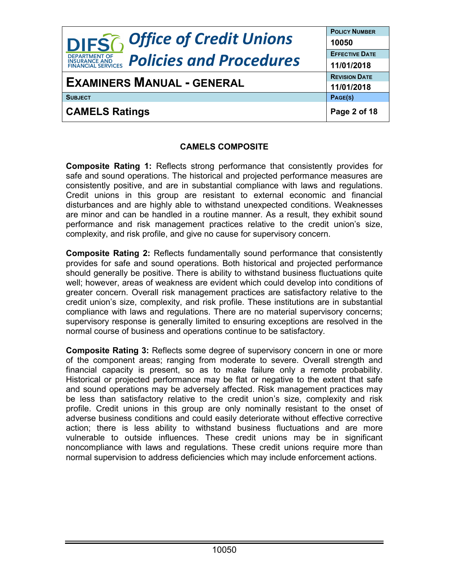| <b>DIFSG</b> Office of Credit Unions                                                | <b>POLICY NUMBER</b>           |
|-------------------------------------------------------------------------------------|--------------------------------|
| <b>DEPARTMENT OF</b>                                                                | 10050<br><b>EFFECTIVE DATE</b> |
| <b>Policies and Procedures</b><br><b>INSURANCE AND</b><br><b>FINANCIAL SERVICES</b> | 11/01/2018                     |
| <b>EXAMINERS MANUAL - GENERAL</b>                                                   | <b>REVISION DATE</b>           |
|                                                                                     | 11/01/2018                     |
| <b>SUBJECT</b>                                                                      | PAGE(S)                        |
| <b>CAMELS Ratings</b>                                                               | Page 2 of 18                   |

### **CAMELS COMPOSITE**

**Composite Rating 1:** Reflects strong performance that consistently provides for safe and sound operations. The historical and projected performance measures are consistently positive, and are in substantial compliance with laws and regulations. Credit unions in this group are resistant to external economic and financial disturbances and are highly able to withstand unexpected conditions. Weaknesses are minor and can be handled in a routine manner. As a result, they exhibit sound performance and risk management practices relative to the credit union's size, complexity, and risk profile, and give no cause for supervisory concern.

**Composite Rating 2:** Reflects fundamentally sound performance that consistently provides for safe and sound operations. Both historical and projected performance should generally be positive. There is ability to withstand business fluctuations quite well; however, areas of weakness are evident which could develop into conditions of greater concern. Overall risk management practices are satisfactory relative to the credit union's size, complexity, and risk profile. These institutions are in substantial compliance with laws and regulations. There are no material supervisory concerns; supervisory response is generally limited to ensuring exceptions are resolved in the normal course of business and operations continue to be satisfactory.

**Composite Rating 3:** Reflects some degree of supervisory concern in one or more of the component areas; ranging from moderate to severe. Overall strength and financial capacity is present, so as to make failure only a remote probability. Historical or projected performance may be flat or negative to the extent that safe and sound operations may be adversely affected. Risk management practices may be less than satisfactory relative to the credit union's size, complexity and risk profile. Credit unions in this group are only nominally resistant to the onset of adverse business conditions and could easily deteriorate without effective corrective action; there is less ability to withstand business fluctuations and are more vulnerable to outside influences. These credit unions may be in significant noncompliance with laws and regulations. These credit unions require more than normal supervision to address deficiencies which may include enforcement actions.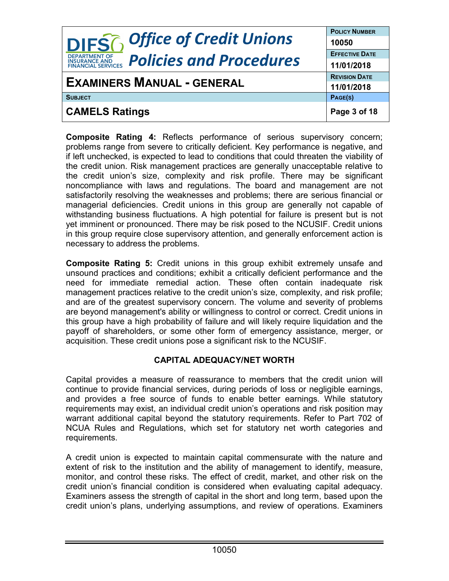|                                                                               | <b>POLICY NUMBER</b>  |
|-------------------------------------------------------------------------------|-----------------------|
| <b>DIFS</b> <sup>2</sup> , Office of Credit Unions                            | 10050                 |
| <b>DEPARTMENT OF</b>                                                          | <b>EFFECTIVE DATE</b> |
| <b>Policies and Procedures</b><br><b>INSURANCE AND<br/>FINANCIAL SERVICES</b> | 11/01/2018            |
| <b>EXAMINERS MANUAL - GENERAL</b>                                             | <b>REVISION DATE</b>  |
|                                                                               | 11/01/2018            |
| <b>SUBJECT</b>                                                                | PAGE(S)               |
| <b>CAMELS Ratings</b>                                                         | Page 3 of 18          |

**Composite Rating 4:** Reflects performance of serious supervisory concern; problems range from severe to critically deficient. Key performance is negative, and if left unchecked, is expected to lead to conditions that could threaten the viability of the credit union. Risk management practices are generally unacceptable relative to the credit union's size, complexity and risk profile. There may be significant noncompliance with laws and regulations. The board and management are not satisfactorily resolving the weaknesses and problems; there are serious financial or managerial deficiencies. Credit unions in this group are generally not capable of withstanding business fluctuations. A high potential for failure is present but is not yet imminent or pronounced. There may be risk posed to the NCUSIF. Credit unions in this group require close supervisory attention, and generally enforcement action is necessary to address the problems.

**Composite Rating 5:** Credit unions in this group exhibit extremely unsafe and unsound practices and conditions; exhibit a critically deficient performance and the need for immediate remedial action. These often contain inadequate risk management practices relative to the credit union's size, complexity, and risk profile; and are of the greatest supervisory concern. The volume and severity of problems are beyond management's ability or willingness to control or correct. Credit unions in this group have a high probability of failure and will likely require liquidation and the payoff of shareholders, or some other form of emergency assistance, merger, or acquisition. These credit unions pose a significant risk to the NCUSIF.

### **CAPITAL ADEQUACY/NET WORTH**

Capital provides a measure of reassurance to members that the credit union will continue to provide financial services, during periods of loss or negligible earnings, and provides a free source of funds to enable better earnings. While statutory requirements may exist, an individual credit union's operations and risk position may warrant additional capital beyond the statutory requirements. Refer to Part 702 of NCUA Rules and Regulations, which set for statutory net worth categories and requirements.

A credit union is expected to maintain capital commensurate with the nature and extent of risk to the institution and the ability of management to identify, measure, monitor, and control these risks. The effect of credit, market, and other risk on the credit union's financial condition is considered when evaluating capital adequacy. Examiners assess the strength of capital in the short and long term, based upon the credit union's plans, underlying assumptions, and review of operations. Examiners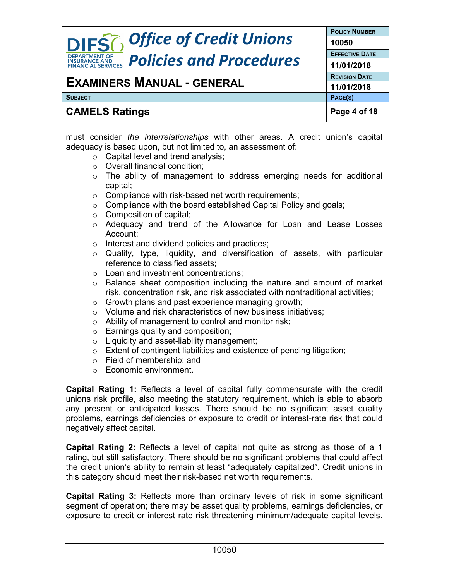|                                                                               | <b>POLICY NUMBER</b>  |
|-------------------------------------------------------------------------------|-----------------------|
| <b>DIFS6</b> Office of Credit Unions                                          | 10050                 |
| <b>DEPARTMENT OF</b>                                                          | <b>EFFECTIVE DATE</b> |
| <b>Policies and Procedures</b><br><b>INSURANCE AND<br/>FINANCIAL SERVICES</b> | 11/01/2018            |
|                                                                               | <b>REVISION DATE</b>  |
| <b>EXAMINERS MANUAL - GENERAL</b>                                             | 11/01/2018            |
| <b>SUBJECT</b>                                                                | PAGE(S)               |
| <b>CAMELS Ratings</b>                                                         | Page 4 of 18          |

must consider *the interrelationships* with other areas. A credit union's capital adequacy is based upon, but not limited to, an assessment of:

- o Capital level and trend analysis;
- o Overall financial condition;
- $\circ$  The ability of management to address emerging needs for additional capital;
- $\circ$  Compliance with risk-based net worth requirements;
- $\circ$  Compliance with the board established Capital Policy and goals;
- o Composition of capital;
- o Adequacy and trend of the Allowance for Loan and Lease Losses Account;
- o Interest and dividend policies and practices;
- o Quality, type, liquidity, and diversification of assets, with particular reference to classified assets;
- o Loan and investment concentrations;
- o Balance sheet composition including the nature and amount of market risk, concentration risk, and risk associated with nontraditional activities;
- $\circ$  Growth plans and past experience managing growth;
- o Volume and risk characteristics of new business initiatives;
- o Ability of management to control and monitor risk;
- o Earnings quality and composition;
- o Liquidity and asset-liability management;
- o Extent of contingent liabilities and existence of pending litigation;
- o Field of membership; and
- o Economic environment.

**Capital Rating 1:** Reflects a level of capital fully commensurate with the credit unions risk profile, also meeting the statutory requirement, which is able to absorb any present or anticipated losses. There should be no significant asset quality problems, earnings deficiencies or exposure to credit or interest-rate risk that could negatively affect capital.

**Capital Rating 2:** Reflects a level of capital not quite as strong as those of a 1 rating, but still satisfactory. There should be no significant problems that could affect the credit union's ability to remain at least "adequately capitalized". Credit unions in this category should meet their risk-based net worth requirements.

**Capital Rating 3:** Reflects more than ordinary levels of risk in some significant segment of operation; there may be asset quality problems, earnings deficiencies, or exposure to credit or interest rate risk threatening minimum/adequate capital levels.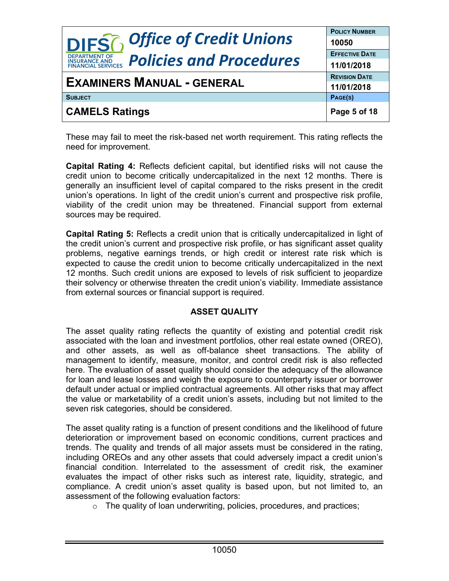| <b>DIFS6</b> Office of Credit Unions                                          | <b>POLICY NUMBER</b>  |
|-------------------------------------------------------------------------------|-----------------------|
|                                                                               | 10050                 |
| <b>DEPARTMENT OF</b>                                                          | <b>EFFECTIVE DATE</b> |
| <b>Policies and Procedures</b><br><b>INSURANCE AND<br/>FINANCIAL SERVICES</b> | 11/01/2018            |
| <b>EXAMINERS MANUAL - GENERAL</b>                                             | <b>REVISION DATE</b>  |
|                                                                               | 11/01/2018            |
| <b>SUBJECT</b>                                                                | PAGE(S)               |
| <b>CAMELS Ratings</b>                                                         | Page 5 of 18          |

These may fail to meet the risk-based net worth requirement. This rating reflects the need for improvement.

**Capital Rating 4:** Reflects deficient capital, but identified risks will not cause the credit union to become critically undercapitalized in the next 12 months. There is generally an insufficient level of capital compared to the risks present in the credit union's operations. In light of the credit union's current and prospective risk profile, viability of the credit union may be threatened. Financial support from external sources may be required.

**Capital Rating 5:** Reflects a credit union that is critically undercapitalized in light of the credit union's current and prospective risk profile, or has significant asset quality problems, negative earnings trends, or high credit or interest rate risk which is expected to cause the credit union to become critically undercapitalized in the next 12 months. Such credit unions are exposed to levels of risk sufficient to jeopardize their solvency or otherwise threaten the credit union's viability. Immediate assistance from external sources or financial support is required.

### **ASSET QUALITY**

The asset quality rating reflects the quantity of existing and potential credit risk associated with the loan and investment portfolios, other real estate owned (OREO), and other assets, as well as off-balance sheet transactions. The ability of management to identify, measure, monitor, and control credit risk is also reflected here. The evaluation of asset quality should consider the adequacy of the allowance for loan and lease losses and weigh the exposure to counterparty issuer or borrower default under actual or implied contractual agreements. All other risks that may affect the value or marketability of a credit union's assets, including but not limited to the seven risk categories, should be considered.

The asset quality rating is a function of present conditions and the likelihood of future deterioration or improvement based on economic conditions, current practices and trends. The quality and trends of all major assets must be considered in the rating, including OREOs and any other assets that could adversely impact a credit union's financial condition. Interrelated to the assessment of credit risk, the examiner evaluates the impact of other risks such as interest rate, liquidity, strategic, and compliance. A credit union's asset quality is based upon, but not limited to, an assessment of the following evaluation factors:

o The quality of loan underwriting, policies, procedures, and practices;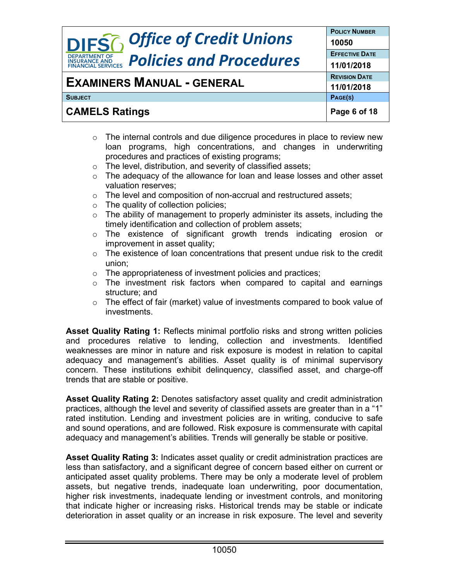|                                                                               | <b>POLICY NUMBER</b>  |
|-------------------------------------------------------------------------------|-----------------------|
| <b>DIFS6</b> Office of Credit Unions                                          | 10050                 |
| <b>DEPARTMENT OF</b>                                                          | <b>EFFECTIVE DATE</b> |
| <b>Policies and Procedures</b><br><b>INSURANCE AND<br/>FINANCIAL SERVICES</b> | 11/01/2018            |
|                                                                               | <b>REVISION DATE</b>  |
| <b>EXAMINERS MANUAL - GENERAL</b>                                             | 11/01/2018            |
| <b>SUBJECT</b>                                                                | PAGE(S)               |
| <b>CAMELS Ratings</b>                                                         | Page 6 of 18          |

- $\circ$  The internal controls and due diligence procedures in place to review new loan programs, high concentrations, and changes in underwriting procedures and practices of existing programs;
- o The level, distribution, and severity of classified assets;
- o The adequacy of the allowance for loan and lease losses and other asset valuation reserves;
- o The level and composition of non-accrual and restructured assets;
- $\circ$  The quality of collection policies;
- $\circ$  The ability of management to properly administer its assets, including the timely identification and collection of problem assets;
- o The existence of significant growth trends indicating erosion or improvement in asset quality;
- $\circ$  The existence of loan concentrations that present undue risk to the credit union;
- o The appropriateness of investment policies and practices;
- o The investment risk factors when compared to capital and earnings structure; and
- o The effect of fair (market) value of investments compared to book value of investments.

**Asset Quality Rating 1:** Reflects minimal portfolio risks and strong written policies and procedures relative to lending, collection and investments. Identified weaknesses are minor in nature and risk exposure is modest in relation to capital adequacy and management's abilities. Asset quality is of minimal supervisory concern. These institutions exhibit delinquency, classified asset, and charge-off trends that are stable or positive.

**Asset Quality Rating 2:** Denotes satisfactory asset quality and credit administration practices, although the level and severity of classified assets are greater than in a "1" rated institution. Lending and investment policies are in writing, conducive to safe and sound operations, and are followed. Risk exposure is commensurate with capital adequacy and management's abilities. Trends will generally be stable or positive.

**Asset Quality Rating 3:** Indicates asset quality or credit administration practices are less than satisfactory, and a significant degree of concern based either on current or anticipated asset quality problems. There may be only a moderate level of problem assets, but negative trends, inadequate loan underwriting, poor documentation, higher risk investments, inadequate lending or investment controls, and monitoring that indicate higher or increasing risks. Historical trends may be stable or indicate deterioration in asset quality or an increase in risk exposure. The level and severity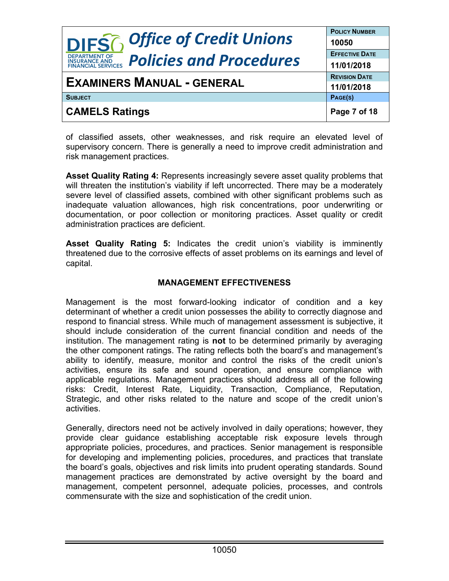|                                                                                     | <b>POLICY NUMBER</b>  |
|-------------------------------------------------------------------------------------|-----------------------|
| <b>DIFS6</b> Office of Credit Unions                                                | 10050                 |
| <b>DEPARTMENT OF</b>                                                                | <b>EFFECTIVE DATE</b> |
| <b>Policies and Procedures</b><br><b>INSURANCE AND</b><br><b>FINANCIAL SERVICES</b> | 11/01/2018            |
| <b>EXAMINERS MANUAL - GENERAL</b>                                                   | <b>REVISION DATE</b>  |
|                                                                                     | 11/01/2018            |
| <b>SUBJECT</b>                                                                      | PAGE(S)               |
| <b>CAMELS Ratings</b>                                                               | Page 7 of 18          |

of classified assets, other weaknesses, and risk require an elevated level of supervisory concern. There is generally a need to improve credit administration and risk management practices.

**Asset Quality Rating 4:** Represents increasingly severe asset quality problems that will threaten the institution's viability if left uncorrected. There may be a moderately severe level of classified assets, combined with other significant problems such as inadequate valuation allowances, high risk concentrations, poor underwriting or documentation, or poor collection or monitoring practices. Asset quality or credit administration practices are deficient.

**Asset Quality Rating 5:** Indicates the credit union's viability is imminently threatened due to the corrosive effects of asset problems on its earnings and level of capital.

### **MANAGEMENT EFFECTIVENESS**

Management is the most forward-looking indicator of condition and a key determinant of whether a credit union possesses the ability to correctly diagnose and respond to financial stress. While much of management assessment is subjective, it should include consideration of the current financial condition and needs of the institution. The management rating is **not** to be determined primarily by averaging the other component ratings. The rating reflects both the board's and management's ability to identify, measure, monitor and control the risks of the credit union's activities, ensure its safe and sound operation, and ensure compliance with applicable regulations. Management practices should address all of the following risks: Credit, Interest Rate, Liquidity, Transaction, Compliance, Reputation, Strategic, and other risks related to the nature and scope of the credit union's activities.

Generally, directors need not be actively involved in daily operations; however, they provide clear guidance establishing acceptable risk exposure levels through appropriate policies, procedures, and practices. Senior management is responsible for developing and implementing policies, procedures, and practices that translate the board's goals, objectives and risk limits into prudent operating standards. Sound management practices are demonstrated by active oversight by the board and management, competent personnel, adequate policies, processes, and controls commensurate with the size and sophistication of the credit union.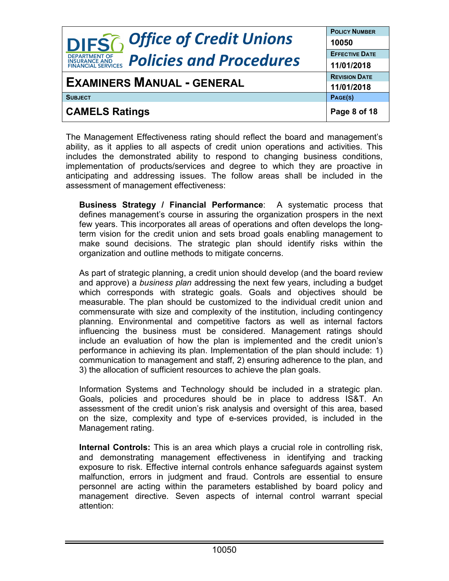| <b>DIFS6</b> Office of Credit Unions                                                                  | <b>POLICY NUMBER</b><br>10050      |
|-------------------------------------------------------------------------------------------------------|------------------------------------|
| <b>DEPARTMENT OF</b><br><b>Policies and Procedures</b><br><b>INSURANCE AND<br/>FINANCIAL SERVICES</b> | <b>EFFECTIVE DATE</b>              |
| <b>EXAMINERS MANUAL - GENERAL</b>                                                                     | 11/01/2018<br><b>REVISION DATE</b> |
| <b>SUBJECT</b>                                                                                        | 11/01/2018<br>PAGE(S)              |
| <b>CAMELS Ratings</b>                                                                                 | Page 8 of 18                       |

The Management Effectiveness rating should reflect the board and management's ability, as it applies to all aspects of credit union operations and activities. This includes the demonstrated ability to respond to changing business conditions, implementation of products/services and degree to which they are proactive in anticipating and addressing issues. The follow areas shall be included in the assessment of management effectiveness:

**Business Strategy / Financial Performance**: A systematic process that defines management's course in assuring the organization prospers in the next few years. This incorporates all areas of operations and often develops the longterm vision for the credit union and sets broad goals enabling management to make sound decisions. The strategic plan should identify risks within the organization and outline methods to mitigate concerns.

As part of strategic planning, a credit union should develop (and the board review and approve) a *business plan* addressing the next few years, including a budget which corresponds with strategic goals. Goals and objectives should be measurable. The plan should be customized to the individual credit union and commensurate with size and complexity of the institution, including contingency planning. Environmental and competitive factors as well as internal factors influencing the business must be considered. Management ratings should include an evaluation of how the plan is implemented and the credit union's performance in achieving its plan. Implementation of the plan should include: 1) communication to management and staff, 2) ensuring adherence to the plan, and 3) the allocation of sufficient resources to achieve the plan goals.

Information Systems and Technology should be included in a strategic plan. Goals, policies and procedures should be in place to address IS&T. An assessment of the credit union's risk analysis and oversight of this area, based on the size, complexity and type of e-services provided, is included in the Management rating.

**Internal Controls:** This is an area which plays a crucial role in controlling risk, and demonstrating management effectiveness in identifying and tracking exposure to risk. Effective internal controls enhance safeguards against system malfunction, errors in judgment and fraud. Controls are essential to ensure personnel are acting within the parameters established by board policy and management directive. Seven aspects of internal control warrant special attention: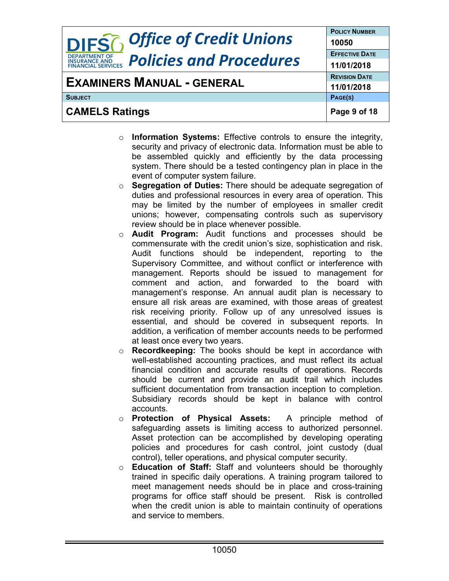| <b>DIFS6</b> Office of Credit Unions                                                | <b>POLICY NUMBER</b>  |
|-------------------------------------------------------------------------------------|-----------------------|
|                                                                                     | 10050                 |
| <b>DEPARTMENT OF</b>                                                                | <b>EFFECTIVE DATE</b> |
| <b>Policies and Procedures</b><br><b>INSURANCE AND</b><br><b>FINANCIAL SERVICES</b> | 11/01/2018            |
| <b>EXAMINERS MANUAL - GENERAL</b>                                                   | <b>REVISION DATE</b>  |
|                                                                                     | 11/01/2018            |
| <b>SUBJECT</b>                                                                      | PAGE(S)               |
| <b>CAMELS Ratings</b>                                                               | Page 9 of 18          |

- o **Information Systems:** Effective controls to ensure the integrity, security and privacy of electronic data. Information must be able to be assembled quickly and efficiently by the data processing system. There should be a tested contingency plan in place in the event of computer system failure.
- o **Segregation of Duties:** There should be adequate segregation of duties and professional resources in every area of operation. This may be limited by the number of employees in smaller credit unions; however, compensating controls such as supervisory review should be in place whenever possible.
- o **Audit Program:** Audit functions and processes should be commensurate with the credit union's size, sophistication and risk. Audit functions should be independent, reporting to the Supervisory Committee, and without conflict or interference with management. Reports should be issued to management for comment and action, and forwarded to the board with management's response. An annual audit plan is necessary to ensure all risk areas are examined, with those areas of greatest risk receiving priority. Follow up of any unresolved issues is essential, and should be covered in subsequent reports. In addition, a verification of member accounts needs to be performed at least once every two years.
- o **Recordkeeping:** The books should be kept in accordance with well-established accounting practices, and must reflect its actual financial condition and accurate results of operations. Records should be current and provide an audit trail which includes sufficient documentation from transaction inception to completion. Subsidiary records should be kept in balance with control accounts.
- o **Protection of Physical Assets:** A principle method of safeguarding assets is limiting access to authorized personnel. Asset protection can be accomplished by developing operating policies and procedures for cash control, joint custody (dual control), teller operations, and physical computer security.
- o **Education of Staff:** Staff and volunteers should be thoroughly trained in specific daily operations. A training program tailored to meet management needs should be in place and cross-training programs for office staff should be present. Risk is controlled when the credit union is able to maintain continuity of operations and service to members.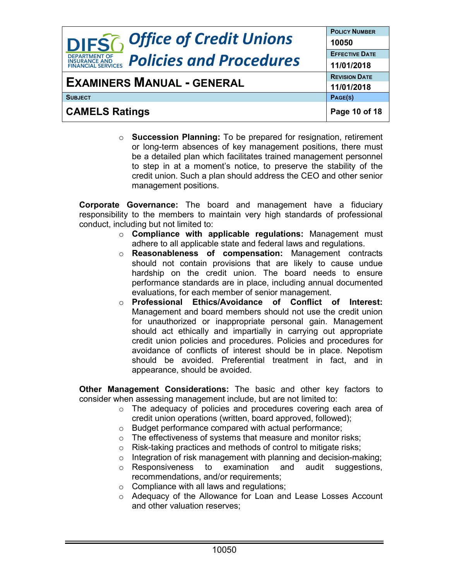| <b>DIFS6</b> Office of Credit Unions                                                | <b>POLICY NUMBER</b><br>10050 |
|-------------------------------------------------------------------------------------|-------------------------------|
| <b>DEPARTMENT OF</b>                                                                | <b>EFFECTIVE DATE</b>         |
| <b>Policies and Procedures</b><br><b>INSURANCE AND</b><br><b>FINANCIAL SERVICES</b> | 11/01/2018                    |
| <b>EXAMINERS MANUAL - GENERAL</b>                                                   | <b>REVISION DATE</b>          |
|                                                                                     | 11/01/2018                    |
| <b>SUBJECT</b>                                                                      | PAGE(S)                       |
| <b>CAMELS Ratings</b>                                                               | Page 10 of 18                 |

o **Succession Planning:** To be prepared for resignation, retirement or long-term absences of key management positions, there must be a detailed plan which facilitates trained management personnel to step in at a moment's notice, to preserve the stability of the credit union. Such a plan should address the CEO and other senior management positions.

**Corporate Governance:** The board and management have a fiduciary responsibility to the members to maintain very high standards of professional conduct, including but not limited to:

- o **Compliance with applicable regulations:** Management must adhere to all applicable state and federal laws and regulations.
- o **Reasonableness of compensation:** Management contracts should not contain provisions that are likely to cause undue hardship on the credit union. The board needs to ensure performance standards are in place, including annual documented evaluations, for each member of senior management.
- o **Professional Ethics/Avoidance of Conflict of Interest:** Management and board members should not use the credit union for unauthorized or inappropriate personal gain. Management should act ethically and impartially in carrying out appropriate credit union policies and procedures. Policies and procedures for avoidance of conflicts of interest should be in place. Nepotism should be avoided. Preferential treatment in fact, and in appearance, should be avoided.

**Other Management Considerations:** The basic and other key factors to consider when assessing management include, but are not limited to:

- o The adequacy of policies and procedures covering each area of credit union operations (written, board approved, followed);
- o Budget performance compared with actual performance;
- o The effectiveness of systems that measure and monitor risks;
- o Risk-taking practices and methods of control to mitigate risks;
- $\circ$  Integration of risk management with planning and decision-making;<br> $\circ$  Responsiveness to examination and audit suggestions,
- $\circ$  Responsiveness to recommendations, and/or requirements;
- $\circ$  Compliance with all laws and regulations;
- o Adequacy of the Allowance for Loan and Lease Losses Account and other valuation reserves;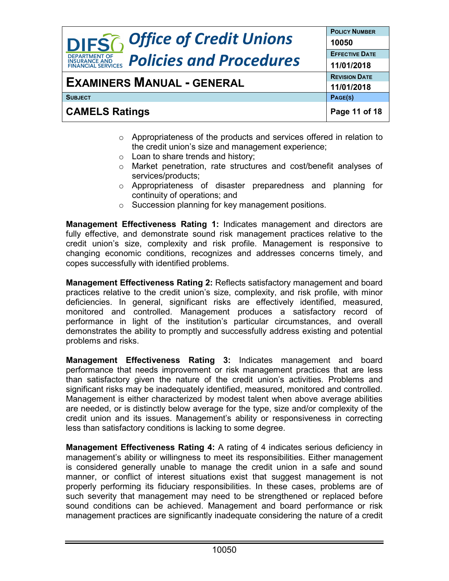|                                                                                     | <b>POLICY NUMBER</b>  |
|-------------------------------------------------------------------------------------|-----------------------|
| <b>DIFS6</b> Office of Credit Unions                                                | 10050                 |
| <b>DEPARTMENT OF</b>                                                                | <b>EFFECTIVE DATE</b> |
| <b>Policies and Procedures</b><br><b>INSURANCE AND</b><br><b>FINANCIAL SERVICES</b> | 11/01/2018            |
| <b>EXAMINERS MANUAL - GENERAL</b>                                                   | <b>REVISION DATE</b>  |
|                                                                                     | 11/01/2018            |
| <b>SUBJECT</b>                                                                      | PAGE(S)               |
| <b>CAMELS Ratings</b>                                                               | Page 11 of 18         |

- o Appropriateness of the products and services offered in relation to the credit union's size and management experience;
- o Loan to share trends and history;
- o Market penetration, rate structures and cost/benefit analyses of services/products;
- o Appropriateness of disaster preparedness and planning for continuity of operations; and
- o Succession planning for key management positions.

**Management Effectiveness Rating 1:** Indicates management and directors are fully effective, and demonstrate sound risk management practices relative to the credit union's size, complexity and risk profile. Management is responsive to changing economic conditions, recognizes and addresses concerns timely, and copes successfully with identified problems.

**Management Effectiveness Rating 2:** Reflects satisfactory management and board practices relative to the credit union's size, complexity, and risk profile, with minor deficiencies. In general, significant risks are effectively identified, measured, monitored and controlled. Management produces a satisfactory record of performance in light of the institution's particular circumstances, and overall demonstrates the ability to promptly and successfully address existing and potential problems and risks.

**Management Effectiveness Rating 3:** Indicates management and board performance that needs improvement or risk management practices that are less than satisfactory given the nature of the credit union's activities. Problems and significant risks may be inadequately identified, measured, monitored and controlled. Management is either characterized by modest talent when above average abilities are needed, or is distinctly below average for the type, size and/or complexity of the credit union and its issues. Management's ability or responsiveness in correcting less than satisfactory conditions is lacking to some degree.

**Management Effectiveness Rating 4:** A rating of 4 indicates serious deficiency in management's ability or willingness to meet its responsibilities. Either management is considered generally unable to manage the credit union in a safe and sound manner, or conflict of interest situations exist that suggest management is not properly performing its fiduciary responsibilities. In these cases, problems are of such severity that management may need to be strengthened or replaced before sound conditions can be achieved. Management and board performance or risk management practices are significantly inadequate considering the nature of a credit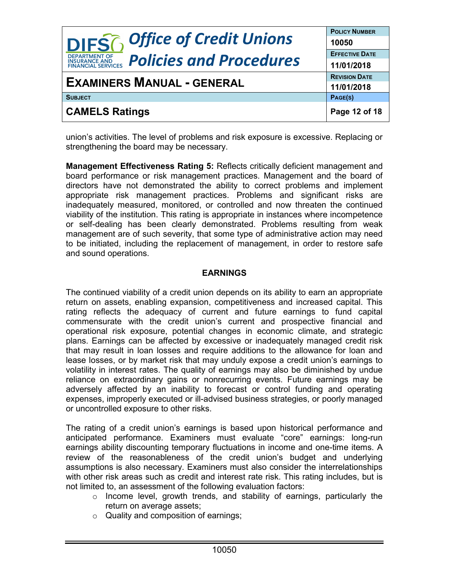| <b>DIFS6</b> Office of Credit Unions                                          | <b>POLICY NUMBER</b>  |
|-------------------------------------------------------------------------------|-----------------------|
|                                                                               | 10050                 |
| <b>DEPARTMENT OF</b>                                                          | <b>EFFECTIVE DATE</b> |
| <b>Policies and Procedures</b><br><b>INSURANCE AND<br/>FINANCIAL SERVICES</b> | 11/01/2018            |
| <b>EXAMINERS MANUAL - GENERAL</b>                                             | <b>REVISION DATE</b>  |
|                                                                               | 11/01/2018            |
| <b>SUBJECT</b>                                                                | PAGE(S)               |
| <b>CAMELS Ratings</b>                                                         | Page 12 of 18         |

union's activities. The level of problems and risk exposure is excessive. Replacing or strengthening the board may be necessary.

**Management Effectiveness Rating 5:** Reflects critically deficient management and board performance or risk management practices. Management and the board of directors have not demonstrated the ability to correct problems and implement appropriate risk management practices. Problems and significant risks are inadequately measured, monitored, or controlled and now threaten the continued viability of the institution. This rating is appropriate in instances where incompetence or self-dealing has been clearly demonstrated. Problems resulting from weak management are of such severity, that some type of administrative action may need to be initiated, including the replacement of management, in order to restore safe and sound operations.

### **EARNINGS**

The continued viability of a credit union depends on its ability to earn an appropriate return on assets, enabling expansion, competitiveness and increased capital. This rating reflects the adequacy of current and future earnings to fund capital commensurate with the credit union's current and prospective financial and operational risk exposure, potential changes in economic climate, and strategic plans. Earnings can be affected by excessive or inadequately managed credit risk that may result in loan losses and require additions to the allowance for loan and lease losses, or by market risk that may unduly expose a credit union's earnings to volatility in interest rates. The quality of earnings may also be diminished by undue reliance on extraordinary gains or nonrecurring events. Future earnings may be adversely affected by an inability to forecast or control funding and operating expenses, improperly executed or ill-advised business strategies, or poorly managed or uncontrolled exposure to other risks.

The rating of a credit union's earnings is based upon historical performance and anticipated performance. Examiners must evaluate "core" earnings: long-run earnings ability discounting temporary fluctuations in income and one-time items. A review of the reasonableness of the credit union's budget and underlying assumptions is also necessary. Examiners must also consider the interrelationships with other risk areas such as credit and interest rate risk. This rating includes, but is not limited to, an assessment of the following evaluation factors:

- o Income level, growth trends, and stability of earnings, particularly the return on average assets;
- o Quality and composition of earnings;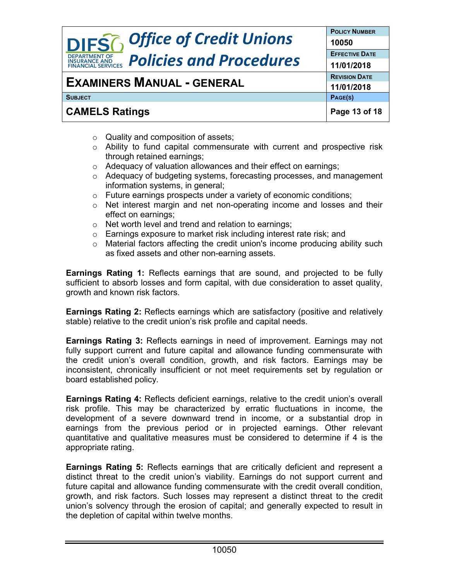|                                                                               | <b>POLICY NUMBER</b>  |
|-------------------------------------------------------------------------------|-----------------------|
| <b>DIFS6</b> Office of Credit Unions                                          | 10050                 |
| <b>DEPARTMENT OF</b>                                                          | <b>EFFECTIVE DATE</b> |
| <b>Policies and Procedures</b><br><b>INSURANCE AND<br/>FINANCIAL SERVICES</b> | 11/01/2018            |
| <b>EXAMINERS MANUAL - GENERAL</b>                                             | <b>REVISION DATE</b>  |
|                                                                               | 11/01/2018            |
| <b>SUBJECT</b>                                                                | PAGE(S)               |
| <b>CAMELS Ratings</b>                                                         | Page 13 of 18         |

- o Quality and composition of assets;
- o Ability to fund capital commensurate with current and prospective risk through retained earnings;
- o Adequacy of valuation allowances and their effect on earnings;
- o Adequacy of budgeting systems, forecasting processes, and management information systems, in general;
- o Future earnings prospects under a variety of economic conditions;
- o Net interest margin and net non-operating income and losses and their effect on earnings;
- o Net worth level and trend and relation to earnings;
- o Earnings exposure to market risk including interest rate risk; and
- o Material factors affecting the credit union's income producing ability such as fixed assets and other non-earning assets.

**Earnings Rating 1:** Reflects earnings that are sound, and projected to be fully sufficient to absorb losses and form capital, with due consideration to asset quality, growth and known risk factors.

**Earnings Rating 2:** Reflects earnings which are satisfactory (positive and relatively stable) relative to the credit union's risk profile and capital needs.

**Earnings Rating 3:** Reflects earnings in need of improvement. Earnings may not fully support current and future capital and allowance funding commensurate with the credit union's overall condition, growth, and risk factors. Earnings may be inconsistent, chronically insufficient or not meet requirements set by regulation or board established policy.

**Earnings Rating 4:** Reflects deficient earnings, relative to the credit union's overall risk profile. This may be characterized by erratic fluctuations in income, the development of a severe downward trend in income, or a substantial drop in earnings from the previous period or in projected earnings. Other relevant quantitative and qualitative measures must be considered to determine if 4 is the appropriate rating.

**Earnings Rating 5:** Reflects earnings that are critically deficient and represent a distinct threat to the credit union's viability. Earnings do not support current and future capital and allowance funding commensurate with the credit overall condition, growth, and risk factors. Such losses may represent a distinct threat to the credit union's solvency through the erosion of capital; and generally expected to result in the depletion of capital within twelve months.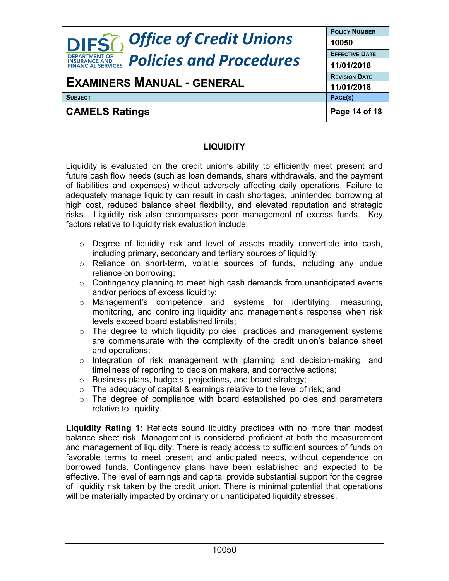| <b>DIFS6</b> Office of Credit Unions                                           | <b>POLICY NUMBER</b><br>10050 |
|--------------------------------------------------------------------------------|-------------------------------|
| <b>DEPARTMENT OF</b><br><b>Policies and Procedures</b><br><b>INSURANCE AND</b> | <b>EFFECTIVE DATE</b>         |
| <b>FINANCIAL SERVICES</b>                                                      | 11/01/2018                    |
| <b>EXAMINERS MANUAL - GENERAL</b>                                              | <b>REVISION DATE</b>          |
|                                                                                | 11/01/2018                    |
| <b>SUBJECT</b>                                                                 | PAGE(S)                       |
| <b>CAMELS Ratings</b>                                                          | Page 14 of 18                 |

#### **LIQUIDITY**

Liquidity is evaluated on the credit union's ability to efficiently meet present and future cash flow needs (such as loan demands, share withdrawals, and the payment of liabilities and expenses) without adversely affecting daily operations. Failure to adequately manage liquidity can result in cash shortages, unintended borrowing at high cost, reduced balance sheet flexibility, and elevated reputation and strategic risks. Liquidity risk also encompasses poor management of excess funds. Key factors relative to liquidity risk evaluation include:

- $\circ$  Degree of liquidity risk and level of assets readily convertible into cash, including primary, secondary and tertiary sources of liquidity;
- o Reliance on short-term, volatile sources of funds, including any undue reliance on borrowing;
- o Contingency planning to meet high cash demands from unanticipated events and/or periods of excess liquidity;
- o Management's competence and systems for identifying, measuring, monitoring, and controlling liquidity and management's response when risk levels exceed board established limits;
- o The degree to which liquidity policies, practices and management systems are commensurate with the complexity of the credit union's balance sheet and operations;
- $\circ$  Integration of risk management with planning and decision-making, and timeliness of reporting to decision makers, and corrective actions;
- o Business plans, budgets, projections, and board strategy;
- $\circ$  The adequacy of capital & earnings relative to the level of risk; and
- o The degree of compliance with board established policies and parameters relative to liquidity.

**Liquidity Rating 1:** Reflects sound liquidity practices with no more than modest balance sheet risk. Management is considered proficient at both the measurement and management of liquidity. There is ready access to sufficient sources of funds on favorable terms to meet present and anticipated needs, without dependence on borrowed funds. Contingency plans have been established and expected to be effective. The level of earnings and capital provide substantial support for the degree of liquidity risk taken by the credit union. There is minimal potential that operations will be materially impacted by ordinary or unanticipated liquidity stresses.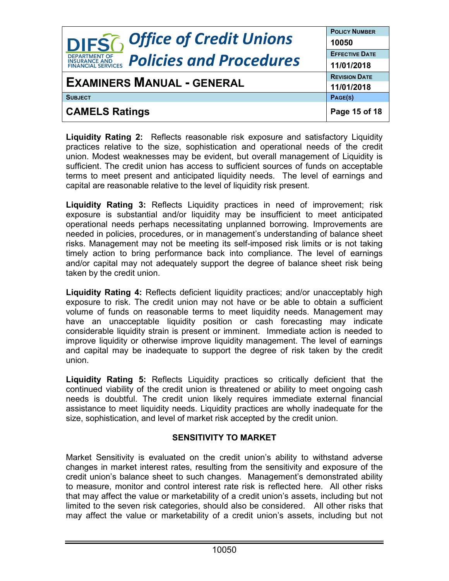| <b>DIFS</b> <sup>2</sup> , Office of Credit Unions                            | <b>POLICY NUMBER</b>  |
|-------------------------------------------------------------------------------|-----------------------|
|                                                                               | 10050                 |
| <b>DEPARTMENT OF</b>                                                          | <b>EFFECTIVE DATE</b> |
| <b>Policies and Procedures</b><br><b>INSURANCE AND<br/>FINANCIAL SERVICES</b> | 11/01/2018            |
| <b>EXAMINERS MANUAL - GENERAL</b>                                             | <b>REVISION DATE</b>  |
|                                                                               | 11/01/2018            |
| <b>SUBJECT</b>                                                                | PAGE(S)               |
| <b>CAMELS Ratings</b>                                                         | Page 15 of 18         |

**Liquidity Rating 2:** Reflects reasonable risk exposure and satisfactory Liquidity practices relative to the size, sophistication and operational needs of the credit union. Modest weaknesses may be evident, but overall management of Liquidity is sufficient. The credit union has access to sufficient sources of funds on acceptable terms to meet present and anticipated liquidity needs. The level of earnings and capital are reasonable relative to the level of liquidity risk present.

**Liquidity Rating 3:** Reflects Liquidity practices in need of improvement; risk exposure is substantial and/or liquidity may be insufficient to meet anticipated operational needs perhaps necessitating unplanned borrowing. Improvements are needed in policies, procedures, or in management's understanding of balance sheet risks. Management may not be meeting its self-imposed risk limits or is not taking timely action to bring performance back into compliance. The level of earnings and/or capital may not adequately support the degree of balance sheet risk being taken by the credit union.

**Liquidity Rating 4:** Reflects deficient liquidity practices; and/or unacceptably high exposure to risk. The credit union may not have or be able to obtain a sufficient volume of funds on reasonable terms to meet liquidity needs. Management may have an unacceptable liquidity position or cash forecasting may indicate considerable liquidity strain is present or imminent. Immediate action is needed to improve liquidity or otherwise improve liquidity management. The level of earnings and capital may be inadequate to support the degree of risk taken by the credit union.

**Liquidity Rating 5:** Reflects Liquidity practices so critically deficient that the continued viability of the credit union is threatened or ability to meet ongoing cash needs is doubtful. The credit union likely requires immediate external financial assistance to meet liquidity needs. Liquidity practices are wholly inadequate for the size, sophistication, and level of market risk accepted by the credit union.

#### **SENSITIVITY TO MARKET**

Market Sensitivity is evaluated on the credit union's ability to withstand adverse changes in market interest rates, resulting from the sensitivity and exposure of the credit union's balance sheet to such changes. Management's demonstrated ability to measure, monitor and control interest rate risk is reflected here. All other risks that may affect the value or marketability of a credit union's assets, including but not limited to the seven risk categories, should also be considered. All other risks that may affect the value or marketability of a credit union's assets, including but not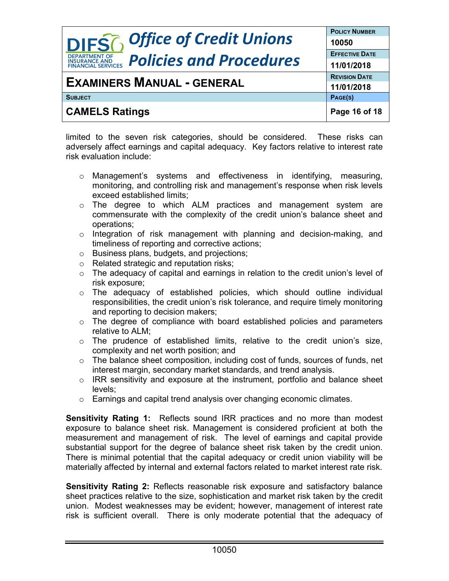|                                                                                     | <b>POLICY NUMBER</b>  |
|-------------------------------------------------------------------------------------|-----------------------|
| <b>DIFSG</b> Office of Credit Unions                                                | 10050                 |
| <b>DEPARTMENT OF</b>                                                                | <b>EFFECTIVE DATE</b> |
| <b>Policies and Procedures</b><br><b>INSURANCE AND</b><br><b>FINANCIAL SERVICES</b> | 11/01/2018            |
| <b>EXAMINERS MANUAL - GENERAL</b>                                                   | <b>REVISION DATE</b>  |
|                                                                                     | 11/01/2018            |
| <b>SUBJECT</b>                                                                      | PAGE(S)               |
| <b>CAMELS Ratings</b>                                                               | Page 16 of 18         |

limited to the seven risk categories, should be considered. These risks can adversely affect earnings and capital adequacy. Key factors relative to interest rate risk evaluation include:

- $\circ$  Management's systems and effectiveness in identifying, measuring, monitoring, and controlling risk and management's response when risk levels exceed established limits;
- o The degree to which ALM practices and management system are commensurate with the complexity of the credit union's balance sheet and operations;
- o Integration of risk management with planning and decision-making, and timeliness of reporting and corrective actions;
- o Business plans, budgets, and projections;
- o Related strategic and reputation risks;
- $\circ$  The adequacy of capital and earnings in relation to the credit union's level of risk exposure;
- $\circ$  The adequacy of established policies, which should outline individual responsibilities, the credit union's risk tolerance, and require timely monitoring and reporting to decision makers;
- o The degree of compliance with board established policies and parameters relative to ALM;
- o The prudence of established limits, relative to the credit union's size, complexity and net worth position; and
- o The balance sheet composition, including cost of funds, sources of funds, net interest margin, secondary market standards, and trend analysis.
- o IRR sensitivity and exposure at the instrument, portfolio and balance sheet levels;
- o Earnings and capital trend analysis over changing economic climates.

**Sensitivity Rating 1:** Reflects sound IRR practices and no more than modest exposure to balance sheet risk. Management is considered proficient at both the measurement and management of risk. The level of earnings and capital provide substantial support for the degree of balance sheet risk taken by the credit union. There is minimal potential that the capital adequacy or credit union viability will be materially affected by internal and external factors related to market interest rate risk.

**Sensitivity Rating 2:** Reflects reasonable risk exposure and satisfactory balance sheet practices relative to the size, sophistication and market risk taken by the credit union. Modest weaknesses may be evident; however, management of interest rate risk is sufficient overall. There is only moderate potential that the adequacy of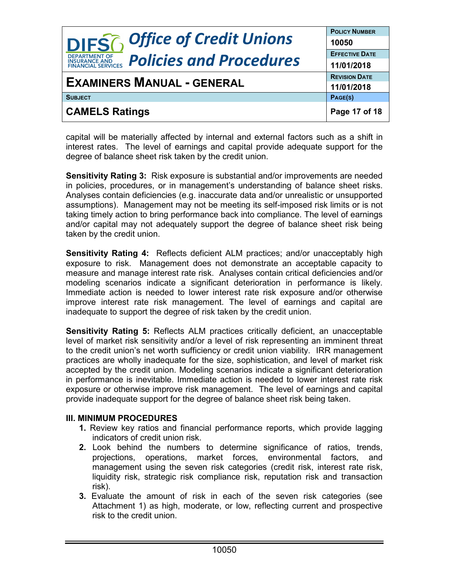| <b>DIFS6</b> Office of Credit Unions                                          | <b>POLICY NUMBER</b>           |
|-------------------------------------------------------------------------------|--------------------------------|
| <b>DEPARTMENT OF</b>                                                          | 10050<br><b>EFFECTIVE DATE</b> |
| <b>Policies and Procedures</b><br><b>INSURANCE AND<br/>FINANCIAL SERVICES</b> | 11/01/2018                     |
| <b>EXAMINERS MANUAL - GENERAL</b>                                             | <b>REVISION DATE</b>           |
|                                                                               | 11/01/2018                     |
| <b>SUBJECT</b>                                                                | PAGE(S)                        |
| <b>CAMELS Ratings</b>                                                         | Page 17 of 18                  |

capital will be materially affected by internal and external factors such as a shift in interest rates. The level of earnings and capital provide adequate support for the degree of balance sheet risk taken by the credit union.

**Sensitivity Rating 3:** Risk exposure is substantial and/or improvements are needed in policies, procedures, or in management's understanding of balance sheet risks. Analyses contain deficiencies (e.g. inaccurate data and/or unrealistic or unsupported assumptions). Management may not be meeting its self-imposed risk limits or is not taking timely action to bring performance back into compliance. The level of earnings and/or capital may not adequately support the degree of balance sheet risk being taken by the credit union.

**Sensitivity Rating 4:** Reflects deficient ALM practices; and/or unacceptably high exposure to risk. Management does not demonstrate an acceptable capacity to measure and manage interest rate risk. Analyses contain critical deficiencies and/or modeling scenarios indicate a significant deterioration in performance is likely. Immediate action is needed to lower interest rate risk exposure and/or otherwise improve interest rate risk management. The level of earnings and capital are inadequate to support the degree of risk taken by the credit union.

**Sensitivity Rating 5:** Reflects ALM practices critically deficient, an unacceptable level of market risk sensitivity and/or a level of risk representing an imminent threat to the credit union's net worth sufficiency or credit union viability. IRR management practices are wholly inadequate for the size, sophistication, and level of market risk accepted by the credit union. Modeling scenarios indicate a significant deterioration in performance is inevitable. Immediate action is needed to lower interest rate risk exposure or otherwise improve risk management. The level of earnings and capital provide inadequate support for the degree of balance sheet risk being taken.

#### **III. MINIMUM PROCEDURES**

- **1.** Review key ratios and financial performance reports, which provide lagging indicators of credit union risk.
- **2.** Look behind the numbers to determine significance of ratios, trends, projections, operations, market forces, environmental factors, and management using the seven risk categories (credit risk, interest rate risk, liquidity risk, strategic risk compliance risk, reputation risk and transaction risk).
- **3.** Evaluate the amount of risk in each of the seven risk categories (see Attachment 1) as high, moderate, or low, reflecting current and prospective risk to the credit union.